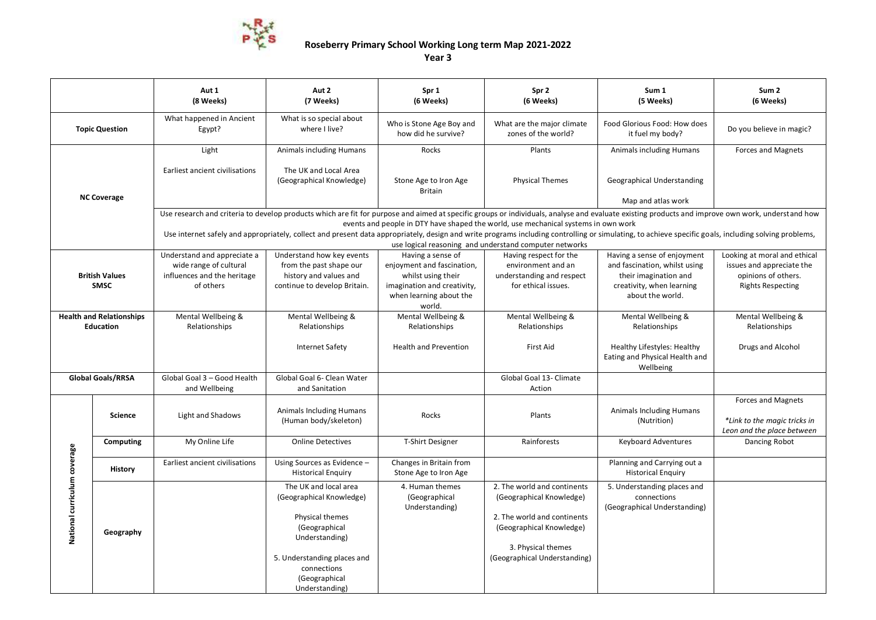

## **Roseberry Primary School Working Long term Map 2021-2022**

**Year 3**

|                                                     |                | Aut 1<br>(8 Weeks)                                                                                                                                                                                                                                                                     | Aut 2<br>(7 Weeks)                                                                                                                                                                       | Spr 1<br>(6 Weeks)                                                                                                                        | Spr 2<br>(6 Weeks)                                                                                                                                                       | Sum 1<br>(5 Weeks)                                                                                                                     | Sum <sub>2</sub><br>(6 Weeks)                                                                                |  |  |
|-----------------------------------------------------|----------------|----------------------------------------------------------------------------------------------------------------------------------------------------------------------------------------------------------------------------------------------------------------------------------------|------------------------------------------------------------------------------------------------------------------------------------------------------------------------------------------|-------------------------------------------------------------------------------------------------------------------------------------------|--------------------------------------------------------------------------------------------------------------------------------------------------------------------------|----------------------------------------------------------------------------------------------------------------------------------------|--------------------------------------------------------------------------------------------------------------|--|--|
| <b>Topic Question</b>                               |                | What happened in Ancient<br>Egypt?                                                                                                                                                                                                                                                     | What is so special about<br>where I live?                                                                                                                                                | Who is Stone Age Boy and<br>how did he survive?                                                                                           | What are the major climate<br>zones of the world?                                                                                                                        | Food Glorious Food: How does<br>it fuel my body?                                                                                       | Do you believe in magic?                                                                                     |  |  |
| <b>NC Coverage</b>                                  |                | Light                                                                                                                                                                                                                                                                                  | Animals including Humans                                                                                                                                                                 | Rocks                                                                                                                                     | Plants                                                                                                                                                                   | <b>Animals including Humans</b>                                                                                                        | <b>Forces and Magnets</b>                                                                                    |  |  |
|                                                     |                | Earliest ancient civilisations                                                                                                                                                                                                                                                         | The UK and Local Area<br>(Geographical Knowledge)                                                                                                                                        | Stone Age to Iron Age<br><b>Britain</b>                                                                                                   | <b>Physical Themes</b>                                                                                                                                                   | Geographical Understanding                                                                                                             |                                                                                                              |  |  |
|                                                     |                |                                                                                                                                                                                                                                                                                        |                                                                                                                                                                                          |                                                                                                                                           |                                                                                                                                                                          | Map and atlas work                                                                                                                     |                                                                                                              |  |  |
|                                                     |                | Use research and criteria to develop products which are fit for purpose and aimed at specific groups or individuals, analyse and evaluate existing products and improve own work, understand how<br>events and people in DTY have shaped the world, use mechanical systems in own work |                                                                                                                                                                                          |                                                                                                                                           |                                                                                                                                                                          |                                                                                                                                        |                                                                                                              |  |  |
|                                                     |                | Use internet safely and appropriately, collect and present data appropriately, design and write programs including controlling or simulating, to achieve specific goals, including solving problems,<br>use logical reasoning and understand computer networks                         |                                                                                                                                                                                          |                                                                                                                                           |                                                                                                                                                                          |                                                                                                                                        |                                                                                                              |  |  |
| <b>British Values</b><br>SMSC                       |                | Understand and appreciate a<br>wide range of cultural<br>influences and the heritage<br>of others                                                                                                                                                                                      | Understand how key events<br>from the past shape our<br>history and values and<br>continue to develop Britain.                                                                           | Having a sense of<br>enjoyment and fascination,<br>whilst using their<br>imagination and creativity,<br>when learning about the<br>world. | Having respect for the<br>environment and an<br>understanding and respect<br>for ethical issues.                                                                         | Having a sense of enjoyment<br>and fascination, whilst using<br>their imagination and<br>creativity, when learning<br>about the world. | Looking at moral and ethical<br>issues and appreciate the<br>opinions of others.<br><b>Rights Respecting</b> |  |  |
| <b>Health and Relationships</b><br><b>Education</b> |                | Mental Wellbeing &<br>Relationships                                                                                                                                                                                                                                                    | Mental Wellbeing &<br>Relationships                                                                                                                                                      | Mental Wellbeing &<br>Relationships                                                                                                       | Mental Wellbeing &<br>Relationships                                                                                                                                      | Mental Wellbeing &<br>Relationships                                                                                                    | Mental Wellbeing &<br>Relationships                                                                          |  |  |
|                                                     |                |                                                                                                                                                                                                                                                                                        | Internet Safety                                                                                                                                                                          | <b>Health and Prevention</b>                                                                                                              | <b>First Aid</b>                                                                                                                                                         | Healthy Lifestyles: Healthy<br>Eating and Physical Health and<br>Wellbeing                                                             | Drugs and Alcohol                                                                                            |  |  |
| <b>Global Goals/RRSA</b>                            |                | Global Goal 3 - Good Health<br>and Wellbeing                                                                                                                                                                                                                                           | Global Goal 6- Clean Water<br>and Sanitation                                                                                                                                             |                                                                                                                                           | Global Goal 13- Climate<br>Action                                                                                                                                        |                                                                                                                                        |                                                                                                              |  |  |
|                                                     | Science        | Light and Shadows                                                                                                                                                                                                                                                                      | <b>Animals Including Humans</b><br>(Human body/skeleton)                                                                                                                                 | Rocks                                                                                                                                     | Plants                                                                                                                                                                   | <b>Animals Including Humans</b><br>(Nutrition)                                                                                         | Forces and Magnets<br>*Link to the magic tricks in<br>Leon and the place between                             |  |  |
|                                                     | Computing      | My Online Life                                                                                                                                                                                                                                                                         | <b>Online Detectives</b>                                                                                                                                                                 | T-Shirt Designer                                                                                                                          | Rainforests                                                                                                                                                              | <b>Keyboard Adventures</b>                                                                                                             | Dancing Robot                                                                                                |  |  |
| National curriculum coverage                        | <b>History</b> | Earliest ancient civilisations                                                                                                                                                                                                                                                         | Using Sources as Evidence -<br><b>Historical Enquiry</b>                                                                                                                                 | Changes in Britain from<br>Stone Age to Iron Age                                                                                          |                                                                                                                                                                          | Planning and Carrying out a<br><b>Historical Enquiry</b>                                                                               |                                                                                                              |  |  |
|                                                     | Geography      |                                                                                                                                                                                                                                                                                        | The UK and local area<br>(Geographical Knowledge)<br>Physical themes<br>(Geographical<br>Understanding)<br>5. Understanding places and<br>connections<br>(Geographical<br>Understanding) | 4. Human themes<br>(Geographical<br>Understanding)                                                                                        | 2. The world and continents<br>(Geographical Knowledge)<br>2. The world and continents<br>(Geographical Knowledge)<br>3. Physical themes<br>(Geographical Understanding) | 5. Understanding places and<br>connections<br>(Geographical Understanding)                                                             |                                                                                                              |  |  |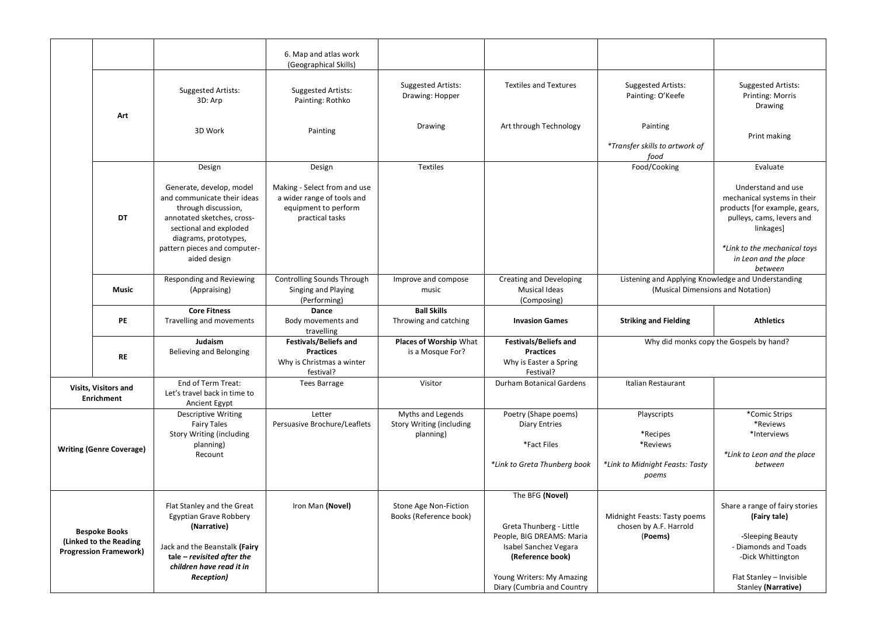|                                                                                 |           |                                                                                                                                        | 6. Map and atlas work<br>(Geographical Skills)                                                        |                                                                   |                                                                                             |                                                                                         |                                                                                                                              |
|---------------------------------------------------------------------------------|-----------|----------------------------------------------------------------------------------------------------------------------------------------|-------------------------------------------------------------------------------------------------------|-------------------------------------------------------------------|---------------------------------------------------------------------------------------------|-----------------------------------------------------------------------------------------|------------------------------------------------------------------------------------------------------------------------------|
|                                                                                 |           | <b>Suggested Artists:</b><br>3D: Arp                                                                                                   | Suggested Artists:<br>Painting: Rothko                                                                | Suggested Artists:<br>Drawing: Hopper                             | <b>Textiles and Textures</b>                                                                | <b>Suggested Artists:</b><br>Painting: O'Keefe                                          | <b>Suggested Artists:</b><br>Printing: Morris<br>Drawing                                                                     |
|                                                                                 | Art       | 3D Work                                                                                                                                | Painting                                                                                              | Drawing                                                           | Art through Technology                                                                      | Painting<br>*Transfer skills to artwork of<br>food                                      | Print making                                                                                                                 |
|                                                                                 |           | Design                                                                                                                                 | Design                                                                                                | Textiles                                                          |                                                                                             | Food/Cooking                                                                            | Evaluate                                                                                                                     |
|                                                                                 | <b>DT</b> | Generate, develop, model<br>and communicate their ideas<br>through discussion,<br>annotated sketches, cross-<br>sectional and exploded | Making - Select from and use<br>a wider range of tools and<br>equipment to perform<br>practical tasks |                                                                   |                                                                                             |                                                                                         | Understand and use<br>mechanical systems in their<br>products [for example, gears,<br>pulleys, cams, levers and<br>linkages] |
|                                                                                 |           | diagrams, prototypes,<br>pattern pieces and computer-<br>aided design                                                                  |                                                                                                       |                                                                   |                                                                                             |                                                                                         | *Link to the mechanical toys<br>in Leon and the place<br>between                                                             |
|                                                                                 | Music     | Responding and Reviewing<br>(Appraising)                                                                                               | Controlling Sounds Through<br>Singing and Playing<br>(Performing)                                     | Improve and compose<br>music                                      | Creating and Developing<br><b>Musical Ideas</b><br>(Composing)                              | Listening and Applying Knowledge and Understanding<br>(Musical Dimensions and Notation) |                                                                                                                              |
|                                                                                 | <b>PE</b> | <b>Core Fitness</b><br>Travelling and movements                                                                                        | Dance<br>Body movements and<br>travelling                                                             | <b>Ball Skills</b><br>Throwing and catching                       | <b>Invasion Games</b>                                                                       | <b>Striking and Fielding</b>                                                            | <b>Athletics</b>                                                                                                             |
|                                                                                 | <b>RE</b> | Judaism<br><b>Believing and Belonging</b>                                                                                              | <b>Festivals/Beliefs and</b><br><b>Practices</b><br>Why is Christmas a winter<br>festival?            | Places of Worship What<br>is a Mosque For?                        | <b>Festivals/Beliefs and</b><br><b>Practices</b><br>Why is Easter a Spring<br>Festival?     |                                                                                         | Why did monks copy the Gospels by hand?                                                                                      |
| <b>Visits, Visitors and</b><br>Enrichment                                       |           | End of Term Treat:<br>Let's travel back in time to<br>Ancient Egypt                                                                    | <b>Tees Barrage</b>                                                                                   | Visitor                                                           | Durham Botanical Gardens                                                                    | Italian Restaurant                                                                      |                                                                                                                              |
| <b>Writing (Genre Coverage)</b>                                                 |           | <b>Descriptive Writing</b><br><b>Fairy Tales</b><br><b>Story Writing (including</b><br>planning)<br>Recount                            | Letter<br>Persuasive Brochure/Leaflets                                                                | Myths and Legends<br><b>Story Writing (including</b><br>planning) | Poetry (Shape poems)<br><b>Diary Entries</b><br>*Fact Files<br>*Link to Greta Thunberg book | Playscripts<br>*Recipes<br>*Reviews<br>*Link to Midnight Feasts: Tasty<br>poems         | *Comic Strips<br>*Reviews<br>*Interviews<br>*Link to Leon and the place<br>between                                           |
|                                                                                 |           |                                                                                                                                        |                                                                                                       |                                                                   | The BFG (Novel)                                                                             |                                                                                         |                                                                                                                              |
|                                                                                 |           | Flat Stanley and the Great<br><b>Egyptian Grave Robbery</b><br>(Narrative)                                                             | Iron Man (Novel)                                                                                      | Stone Age Non-Fiction<br>Books (Reference book)                   | Greta Thunberg - Little                                                                     | Midnight Feasts: Tasty poems<br>chosen by A.F. Harrold                                  | Share a range of fairy stories<br>(Fairy tale)                                                                               |
| <b>Bespoke Books</b><br>(Linked to the Reading<br><b>Progression Framework)</b> |           | Jack and the Beanstalk (Fairy<br>tale - revisited after the<br>children have read it in                                                |                                                                                                       |                                                                   | People, BIG DREAMS: Maria<br>Isabel Sanchez Vegara<br>(Reference book)                      | (Poems)                                                                                 | -Sleeping Beauty<br>- Diamonds and Toads<br>-Dick Whittington                                                                |
|                                                                                 |           |                                                                                                                                        |                                                                                                       |                                                                   | Young Writers: My Amazing                                                                   |                                                                                         |                                                                                                                              |